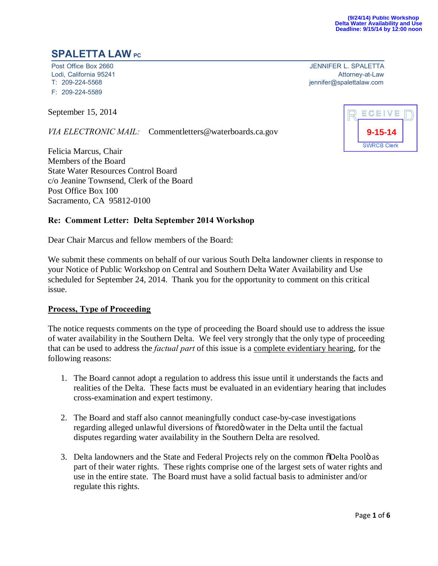# **SPALETTA LAW PC**

Lodi, California 95241<br>T: 209-224-5568 F: 209-224-5589

September 15, 2014

*VIA ELECTRONIC MAIL:* Commentletters@waterboards.ca.gov

Felicia Marcus, Chair Members of the Board State Water Resources Control Board c/o Jeanine Townsend, Clerk of the Board Post Office Box 100 Sacramento, CA 95812-0100

### **Re: Comment Letter: Delta September 2014 Workshop**

Dear Chair Marcus and fellow members of the Board:

We submit these comments on behalf of our various South Delta landowner clients in response to your Notice of Public Workshop on Central and Southern Delta Water Availability and Use scheduled for September 24, 2014. Thank you for the opportunity to comment on this critical issue.

### **Process, Type of Proceeding**

The notice requests comments on the type of proceeding the Board should use to address the issue of water availability in the Southern Delta. We feel very strongly that the only type of proceeding that can be used to address the *factual part* of this issue is a complete evidentiary hearing, for the following reasons:

- 1. The Board cannot adopt a regulation to address this issue until it understands the facts and realities of the Delta. These facts must be evaluated in an evidentiary hearing that includes cross-examination and expert testimony.
- 2. The Board and staff also cannot meaningfully conduct case-by-case investigations regarding alleged unlawful diversions of  $\tilde{\text{o}}$ stored $\ddot{\text{o}}$  water in the Delta until the factual disputes regarding water availability in the Southern Delta are resolved.
- 3. Delta landowners and the State and Federal Projects rely on the common  $\delta$ Delta Poolo as part of their water rights. These rights comprise one of the largest sets of water rights and use in the entire state. The Board must have a solid factual basis to administer and/or regulate this rights.

Post Office Box 2660 JENNIFER L. SPALETTA [jennifer@spalettalaw.com](mailto:jennifer@spalettalaw.com)

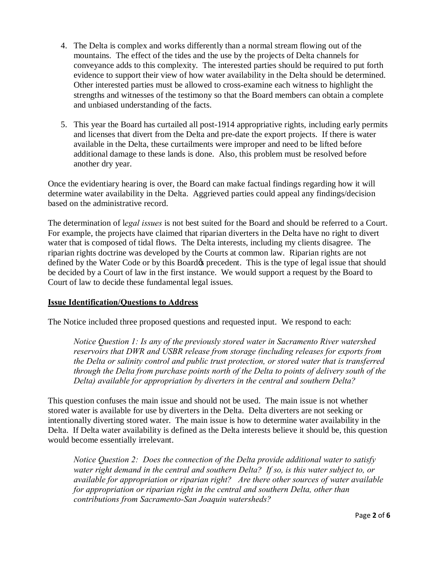- 4. The Delta is complex and works differently than a normal stream flowing out of the mountains. The effect of the tides and the use by the projects of Delta channels for conveyance adds to this complexity. The interested parties should be required to put forth evidence to support their view of how water availability in the Delta should be determined. Other interested parties must be allowed to cross-examine each witness to highlight the strengths and witnesses of the testimony so that the Board members can obtain a complete and unbiased understanding of the facts.
- 5. This year the Board has curtailed all post-1914 appropriative rights, including early permits and licenses that divert from the Delta and pre-date the export projects. If there is water available in the Delta, these curtailments were improper and need to be lifted before additional damage to these lands is done. Also, this problem must be resolved before another dry year.

Once the evidentiary hearing is over, the Board can make factual findings regarding how it will determine water availability in the Delta. Aggrieved parties could appeal any findings/decision based on the administrative record.

The determination of l*egal issues* is not best suited for the Board and should be referred to a Court. For example, the projects have claimed that riparian diverters in the Delta have no right to divert water that is composed of tidal flows. The Delta interests, including my clients disagree. The riparian rights doctrine was developed by the Courts at common law. Riparian rights are not defined by the Water Code or by this Board the precedent. This is the type of legal issue that should be decided by a Court of law in the first instance. We would support a request by the Board to Court of law to decide these fundamental legal issues.

## **Issue Identification/Questions to Address**

The Notice included three proposed questions and requested input. We respond to each:

*Notice Question 1: Is any of the previously stored water in Sacramento River watershed reservoirs that DWR and USBR release from storage (including releases for exports from the Delta or salinity control and public trust protection, or stored water that is transferred through the Delta from purchase points north of the Delta to points of delivery south of the Delta) available for appropriation by diverters in the central and southern Delta?*

This question confuses the main issue and should not be used. The main issue is not whether stored water is available for use by diverters in the Delta. Delta diverters are not seeking or intentionally diverting stored water. The main issue is how to determine water availability in the Delta. If Delta water availability is defined as the Delta interests believe it should be, this question would become essentially irrelevant.

*Notice Question 2: Does the connection of the Delta provide additional water to satisfy water right demand in the central and southern Delta? If so, is this water subject to, or available for appropriation or riparian right? Are there other sources of water available for appropriation or riparian right in the central and southern Delta, other than contributions from Sacramento-San Joaquin watersheds?*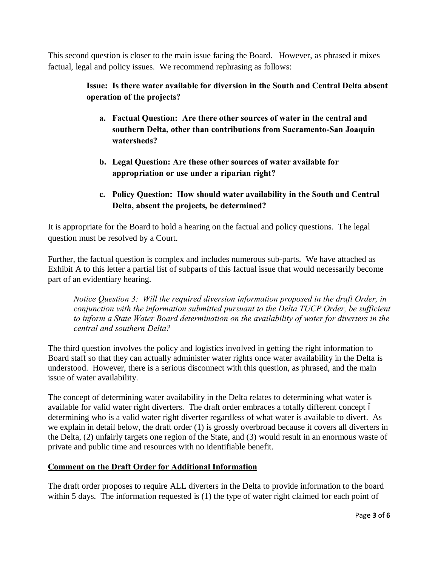This second question is closer to the main issue facing the Board. However, as phrased it mixes factual, legal and policy issues. We recommend rephrasing as follows:

# **Issue: Is there water available for diversion in the South and Central Delta absent operation of the projects?**

- **a. Factual Question: Are there other sources of water in the central and southern Delta, other than contributions from Sacramento-San Joaquin watersheds?**
- **b. Legal Question: Are these other sources of water available for appropriation or use under a riparian right?**
- **c. Policy Question: How should water availability in the South and Central Delta, absent the projects, be determined?**

It is appropriate for the Board to hold a hearing on the factual and policy questions. The legal question must be resolved by a Court.

Further, the factual question is complex and includes numerous sub-parts. We have attached as Exhibit A to this letter a partial list of subparts of this factual issue that would necessarily become part of an evidentiary hearing.

*Notice Question 3: Will the required diversion information proposed in the draft Order, in conjunction with the information submitted pursuant to the Delta TUCP Order, be sufficient to inform a State Water Board determination on the availability of water for diverters in the central and southern Delta?*

The third question involves the policy and logistics involved in getting the right information to Board staff so that they can actually administer water rights once water availability in the Delta is understood. However, there is a serious disconnect with this question, as phrased, and the main issue of water availability.

The concept of determining water availability in the Delta relates to determining what water is available for valid water right diverters. The draft order embraces a totally different concept 6 determining who is a valid water right diverter regardless of what water is available to divert. As we explain in detail below, the draft order (1) is grossly overbroad because it covers all diverters in the Delta, (2) unfairly targets one region of the State, and (3) would result in an enormous waste of private and public time and resources with no identifiable benefit.

## **Comment on the Draft Order for Additional Information**

The draft order proposes to require ALL diverters in the Delta to provide information to the board within 5 days. The information requested is (1) the type of water right claimed for each point of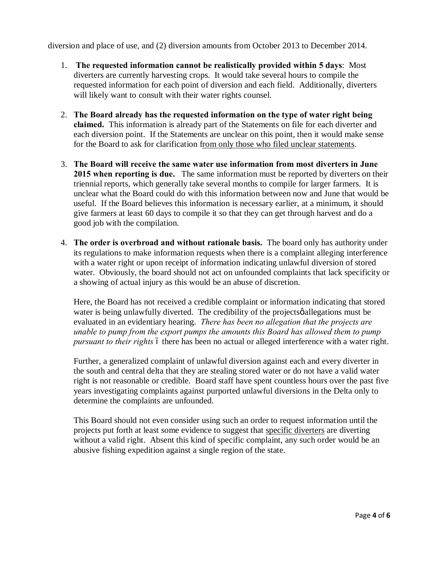diversion and place of use, and (2) diversion amounts from October 2013 to December 2014.

- 1. **The requested information cannot be realistically provided within 5 days**: Most diverters are currently harvesting crops. It would take several hours to compile the requested information for each point of diversion and each field. Additionally, diverters will likely want to consult with their water rights counsel.
- 2. **The Board already has the requested information on the type of water right being claimed.** This information is already part of the Statements on file for each diverter and each diversion point. If the Statements are unclear on this point, then it would make sense for the Board to ask for clarification from only those who filed unclear statements.
- 3. **The Board will receive the same water use information from most diverters in June 2015 when reporting is due.** The same information must be reported by diverters on their triennial reports, which generally take several months to compile for larger farmers. It is unclear what the Board could do with this information between now and June that would be useful. If the Board believes this information is necessary earlier, at a minimum, it should give farmers at least 60 days to compile it so that they can get through harvest and do a good job with the compilation.
- 4. **The order is overbroad and without rationale basis.** The board only has authority under its regulations to make information requests when there is a complaint alleging interference with a water right or upon receipt of information indicating unlawful diversion of stored water. Obviously, the board should not act on unfounded complaints that lack specificity or a showing of actual injury as this would be an abuse of discretion.

Here, the Board has not received a credible complaint or information indicating that stored water is being unlawfully diverted. The credibility of the projects of allegations must be evaluated in an evidentiary hearing. *There has been no allegation that the projects are unable to pump from the export pumps the amounts this Board has allowed them to pump pursuant to their rights* 6 there has been no actual or alleged interference with a water right.

Further, a generalized complaint of unlawful diversion against each and every diverter in the south and central delta that they are stealing stored water or do not have a valid water right is not reasonable or credible. Board staff have spent countless hours over the past five years investigating complaints against purported unlawful diversions in the Delta only to determine the complaints are unfounded.

This Board should not even consider using such an order to request information until the projects put forth at least some evidence to suggest that specific diverters are diverting without a valid right. Absent this kind of specific complaint, any such order would be an abusive fishing expedition against a single region of the state.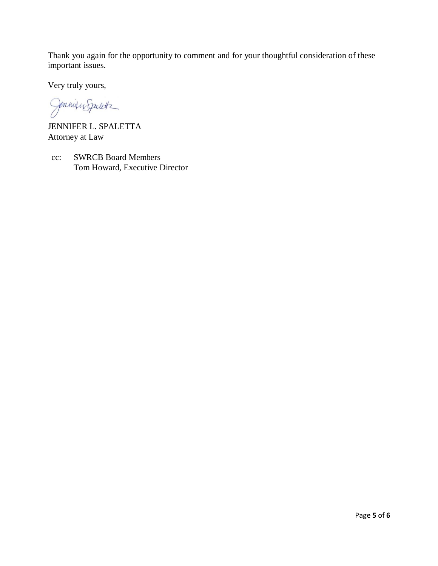Thank you again for the opportunity to comment and for your thoughtful consideration of these important issues.

Very truly yours,

Jonnique Spalette

JENNIFER L. SPALETTA Attorney at Law

cc: SWRCB Board Members Tom Howard, Executive Director